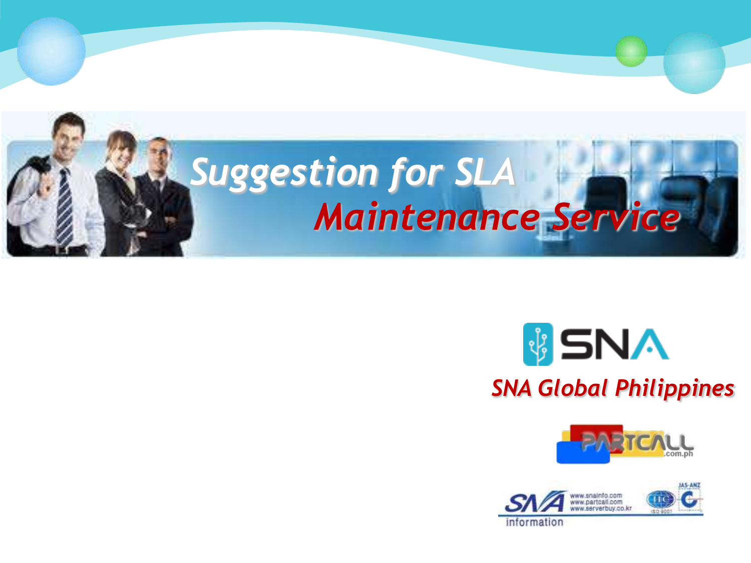





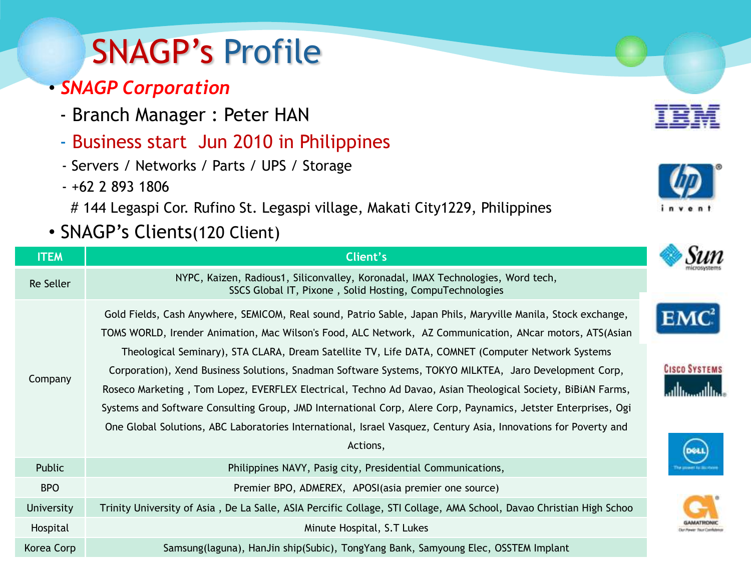# SNAGP's Profile

### • *SNAGP Corporation*

- Branch Manager : Peter HAN
- Business start Jun 2010 in Philippines
- Servers / Networks / Parts / UPS / Storage
- +62 2 893 1806

# 144 Legaspi Cor. Rufino St. Legaspi village, Makati City1229, Philippines

• SNAGP's Clients(120 Client)

| <b>ITEM</b>       | Client's                                                                                                                                                                                                                                                                                                                                                                                                                                                                                                                                                                                                                                                                                                                                                                                                 |
|-------------------|----------------------------------------------------------------------------------------------------------------------------------------------------------------------------------------------------------------------------------------------------------------------------------------------------------------------------------------------------------------------------------------------------------------------------------------------------------------------------------------------------------------------------------------------------------------------------------------------------------------------------------------------------------------------------------------------------------------------------------------------------------------------------------------------------------|
| Re Seller         | NYPC, Kaizen, Radious1, Siliconvalley, Koronadal, IMAX Technologies, Word tech,<br>SSCS Global IT, Pixone, Solid Hosting, CompuTechnologies                                                                                                                                                                                                                                                                                                                                                                                                                                                                                                                                                                                                                                                              |
| Company           | Gold Fields, Cash Anywhere, SEMICOM, Real sound, Patrio Sable, Japan Phils, Maryville Manila, Stock exchange,<br>TOMS WORLD, Irender Animation, Mac Wilson's Food, ALC Network, AZ Communication, ANcar motors, ATS(Asian<br>Theological Seminary), STA CLARA, Dream Satellite TV, Life DATA, COMNET (Computer Network Systems<br>Corporation), Xend Business Solutions, Snadman Software Systems, TOKYO MILKTEA, Jaro Development Corp,<br>Roseco Marketing, Tom Lopez, EVERFLEX Electrical, Techno Ad Davao, Asian Theological Society, BiBiAN Farms,<br>Systems and Software Consulting Group, JMD International Corp, Alere Corp, Paynamics, Jetster Enterprises, Ogi<br>One Global Solutions, ABC Laboratories International, Israel Vasquez, Century Asia, Innovations for Poverty and<br>Actions, |
| Public            | Philippines NAVY, Pasig city, Presidential Communications,                                                                                                                                                                                                                                                                                                                                                                                                                                                                                                                                                                                                                                                                                                                                               |
| <b>BPO</b>        | Premier BPO, ADMEREX, APOSI(asia premier one source)                                                                                                                                                                                                                                                                                                                                                                                                                                                                                                                                                                                                                                                                                                                                                     |
| <b>University</b> | Trinity University of Asia, De La Salle, ASIA Percific Collage, STI Collage, AMA School, Davao Christian High Schoo                                                                                                                                                                                                                                                                                                                                                                                                                                                                                                                                                                                                                                                                                      |
| Hospital          | Minute Hospital, S.T Lukes                                                                                                                                                                                                                                                                                                                                                                                                                                                                                                                                                                                                                                                                                                                                                                               |
| Korea Corp        | Samsung(laguna), HanJin ship(Subic), TongYang Bank, Samyoung Elec, OSSTEM Implant                                                                                                                                                                                                                                                                                                                                                                                                                                                                                                                                                                                                                                                                                                                        |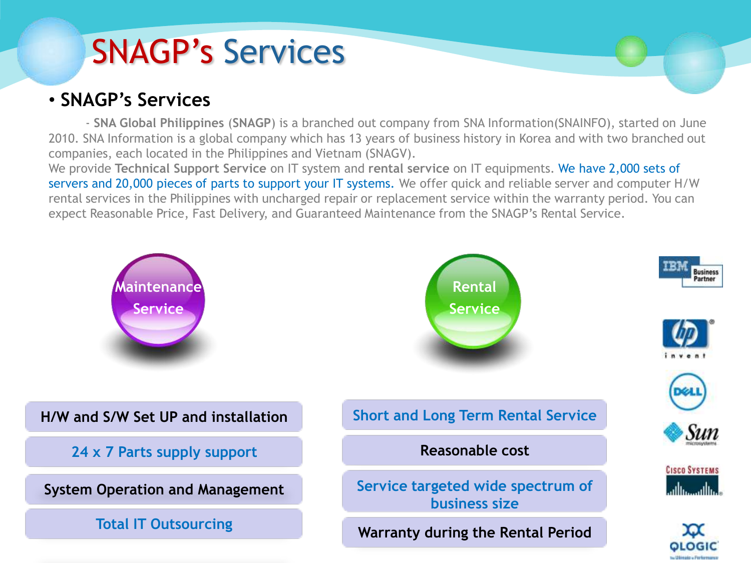# SNAGP's Services

### • **SNAGP's Services**

- **SNA Global Philippines** (**SNAGP**) is a branched out company from SNA Information(SNAINFO), started on June 2010. SNA Information is a global company which has 13 years of business history in Korea and with two branched out companies, each located in the Philippines and Vietnam (SNAGV).

We provide **Technical Support Service** on IT system and **rental service** on IT equipments. We have 2,000 sets of servers and 20,000 pieces of parts to support your IT systems. We offer quick and reliable server and computer H/W rental services in the Philippines with uncharged repair or replacement service within the warranty period. You can expect Reasonable Price, Fast Delivery, and Guaranteed Maintenance from the SNAGP's Rental Service.

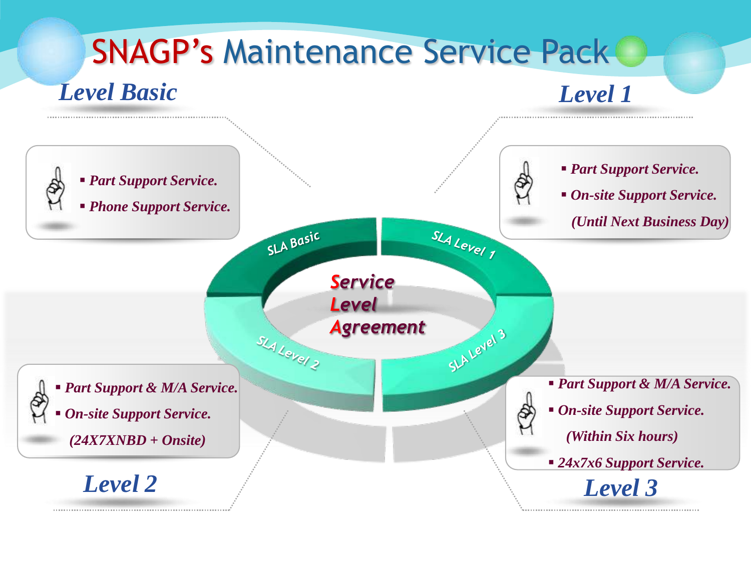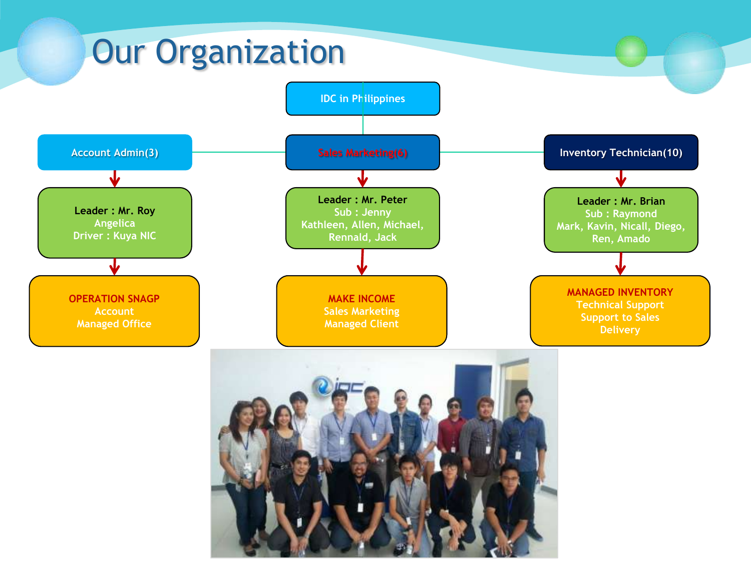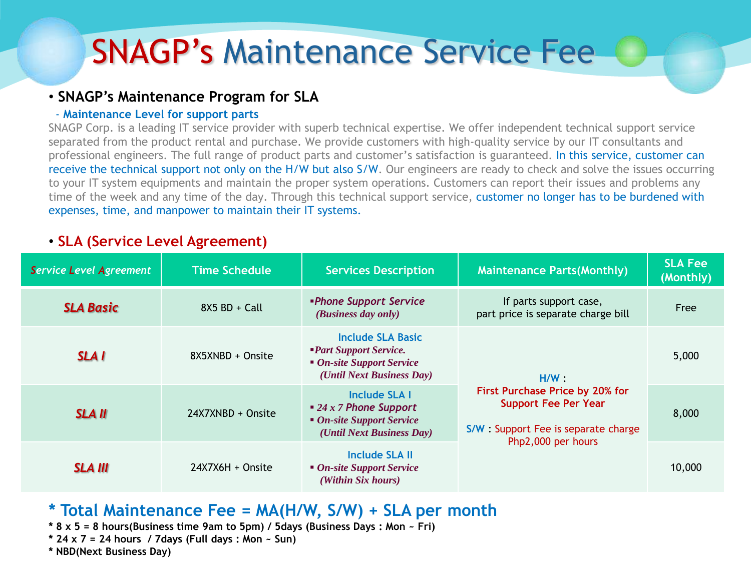## SNAGP's Maintenance Service Fee

#### • **SNAGP's Maintenance Program for SLA**

#### - **Maintenance Level for support parts**

SNAGP Corp. is a leading IT service provider with superb technical expertise. We offer independent technical support service separated from the product rental and purchase. We provide customers with high-quality service by our IT consultants and professional engineers. The full range of product parts and customer's satisfaction is guaranteed. In this service, customer can receive the technical support not only on the H/W but also S/W. Our engineers are ready to check and solve the issues occurring to your IT system equipments and maintain the proper system operations. Customers can report their issues and problems any time of the week and any time of the day. Through this technical support service, customer no longer has to be burdened with expenses, time, and manpower to maintain their IT systems.

#### • **SLA (Service Level Agreement)**

| <b>Service Level Agreement</b> | <b>Time Schedule</b> | <b>Services Description</b>                                                                                 | <b>Maintenance Parts (Monthly)</b>                                                                                                 | <b>SLA Fee</b><br>(Monthly) |
|--------------------------------|----------------------|-------------------------------------------------------------------------------------------------------------|------------------------------------------------------------------------------------------------------------------------------------|-----------------------------|
| <b>SLA Basic</b>               | $8X5 BD + Call$      | <b>•Phone Support Service</b><br>(Business day only)                                                        | If parts support case,<br>part price is separate charge bill                                                                       | Free                        |
| <b>SLAI</b>                    | 8X5XNBD + Onsite     | Include SLA Basic<br><b>Part Support Service.</b><br>• On-site Support Service<br>(Until Next Business Day) | H/W<br>First Purchase Price by 20% for<br><b>Support Fee Per Year</b><br>S/W: Support Fee is separate charge<br>Php2,000 per hours | 5,000                       |
| <b>SLA II</b>                  | 24X7XNBD + Onsite    | Include SLA I<br>$\bullet$ 24 x 7 Phone Support<br>• On-site Support Service<br>(Until Next Business Day)   |                                                                                                                                    | 8,000                       |
| <b>SLA III</b>                 | $24X7X6H +$ Onsite   | Include SLA II<br>• On-site Support Service<br>(Within Six hours)                                           |                                                                                                                                    | 10,000                      |

### **\* Total Maintenance Fee = MA(H/W, S/W) + SLA per month**

- **\* 8 x 5 = 8 hours(Business time 9am to 5pm) / 5days (Business Days : Mon ~ Fri)**
- **\* 24 x 7 = 24 hours / 7days (Full days : Mon ~ Sun)**
- **\* NBD(Next Business Day)**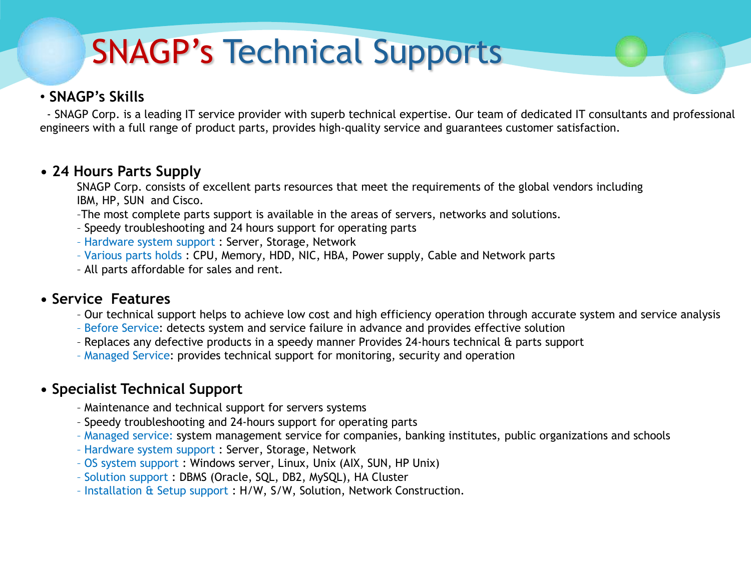# SNAGP's Technical Supports

### • **SNAGP's Skills**

- SNAGP Corp. is a leading IT service provider with superb technical expertise. Our team of dedicated IT consultants and professional engineers with a full range of product parts, provides high-quality service and guarantees customer satisfaction.

#### **• 24 Hours Parts Supply**

SNAGP Corp. consists of excellent parts resources that meet the requirements of the global vendors including IBM, HP, SUN and Cisco.

- –The most complete parts support is available in the areas of servers, networks and solutions.
- Speedy troubleshooting and 24 hours support for operating parts
- Hardware system support : Server, Storage, Network
- Various parts holds : CPU, Memory, HDD, NIC, HBA, Power supply, Cable and Network parts
- All parts affordable for sales and rent.

#### **• Service Features**

- Our technical support helps to achieve low cost and high efficiency operation through accurate system and service analysis
- Before Service: detects system and service failure in advance and provides effective solution
- Replaces any defective products in a speedy manner Provides 24-hours technical & parts support
- Managed Service: provides technical support for monitoring, security and operation

### **• Specialist Technical Support**

- Maintenance and technical support for servers systems
- Speedy troubleshooting and 24-hours support for operating parts
- Managed service: system management service for companies, banking institutes, public organizations and schools
- Hardware system support : Server, Storage, Network
- OS system support : Windows server, Linux, Unix (AIX, SUN, HP Unix)
- Solution support : DBMS (Oracle, SQL, DB2, MySQL), HA Cluster
- Installation & Setup support : H/W, S/W, Solution, Network Construction.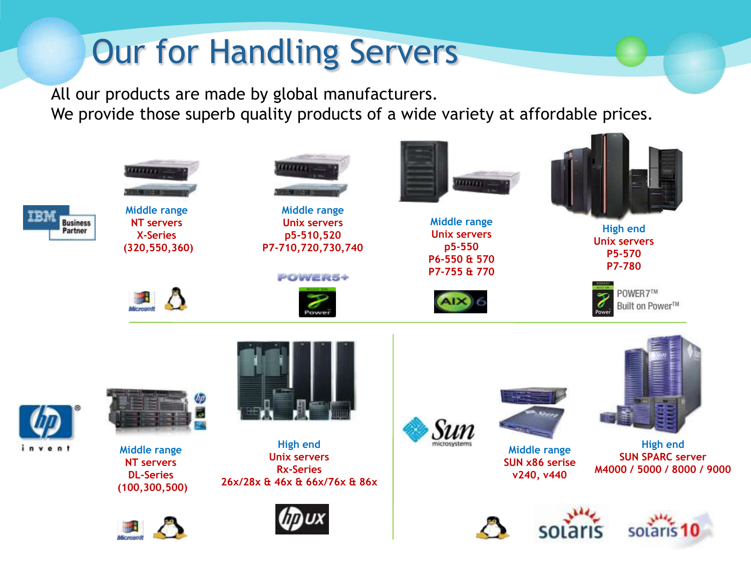# Our for Handling Servers

All our products are made by global manufacturers. We provide those superb quality products of a wide variety at affordable prices.

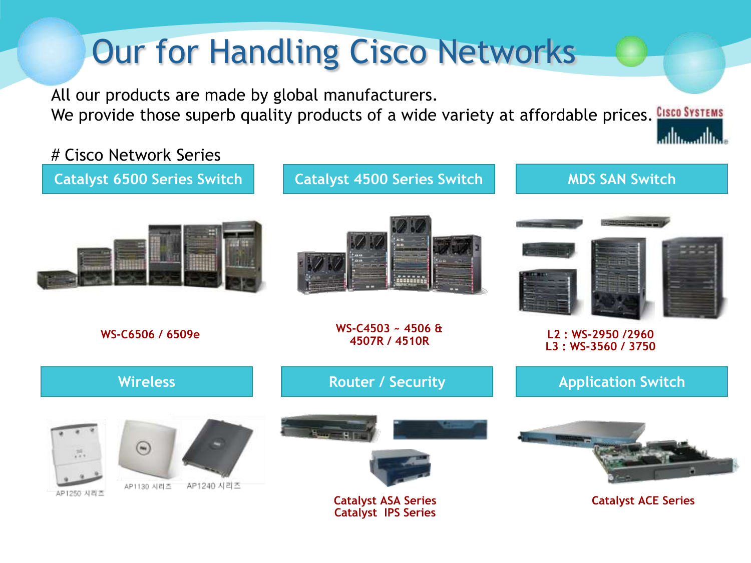# Our for Handling Cisco Networks

All our products are made by global manufacturers. We provide those superb quality products of a wide variety at affordable prices. CISCO SYSTEMS

### # Cisco Network Series

**Catalyst 6500 Series Switch Catalyst 4500 Series Switch** 



والسورااتيا





**WS-C6506 / 6509e WS-C4503 ~ 4506 &** 

**4507R / 4510R L2 : WS-2950 /2960 L3 : WS-3560 / 3750**

| <b>Wireless</b>                                | <b>Router / Security</b>   | <b>Application Switch</b>  |
|------------------------------------------------|----------------------------|----------------------------|
| $\mathbf{m}$<br>厚.<br>AP1240 시리즈<br>AP1130 시리즈 | Humor.                     |                            |
| AP1250 시리즈                                     | <b>Catalyst ASA Series</b> | <b>Catalyst ACE Series</b> |

**Catalyst IPS Series**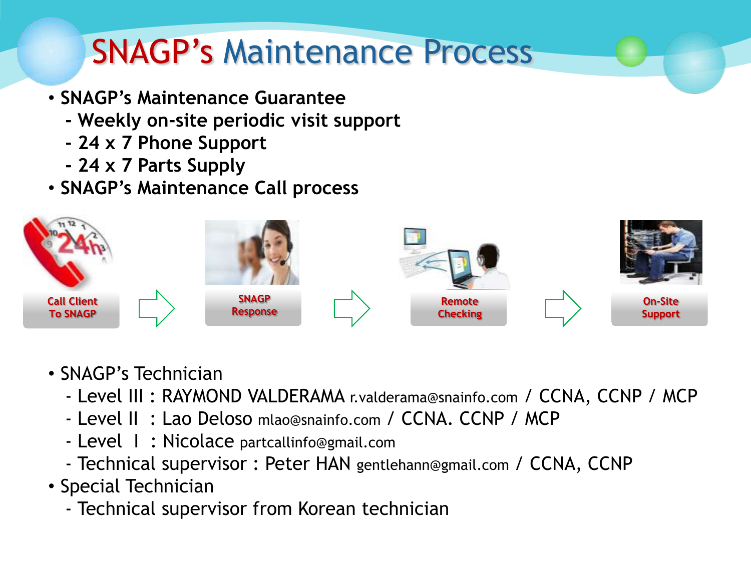## SNAGP's Maintenance Process

- **SNAGP's Maintenance Guarantee**
	- **- Weekly on-site periodic visit support**
	- **- 24 x 7 Phone Support**
	- **- 24 x 7 Parts Supply**
- **SNAGP's Maintenance Call process**



- SNAGP's Technician
	- Level III : RAYMOND VALDERAMA r.valderama@snainfo.com / CCNA, CCNP / MCP
	- Level II : Lao Deloso mlao@snainfo.com / CCNA. CCNP / MCP
	- Level I : Nicolace partcallinfo@gmail.com
	- Technical supervisor : Peter HAN gentlehann@gmail.com / CCNA, CCNP
- Special Technician
	- Technical supervisor from Korean technician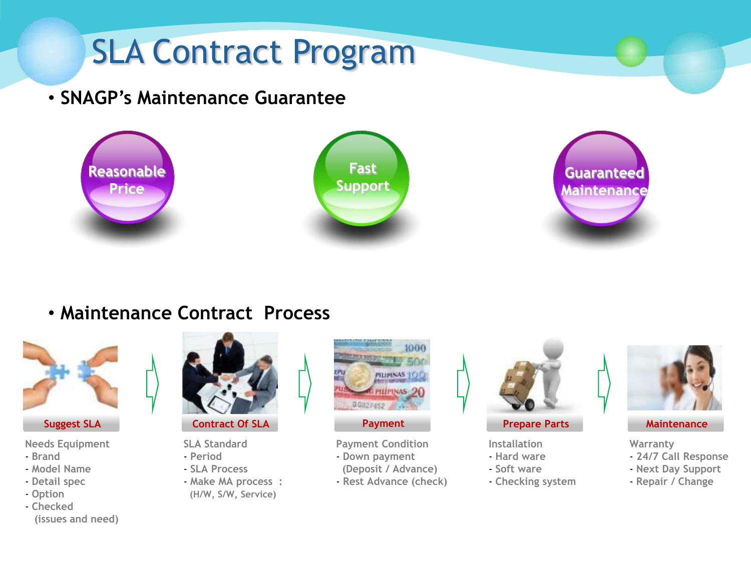

### • **Maintenance Contract Process**



#### **Needs Equipment**

- **Brand**
- **Model Name**
- **Detail spec**
- **Option**
- **Checked (issues and need)**



**SLA Standard**

- **Period**
- **SLA Process**
- **Make MA process : (H/W, S/W, Service)**



**Payment Condition** - **Down payment**

- **(Deposit / Advance)**
- **Rest Advance (check)**



- **Installation** - **Hard ware**
- **Soft ware**
- **Checking system**



**Suggest SLA Contract Of SLA Payment Prepare Parts Maintenance**

**Warranty**

- **24/7 Call Response**
- **Next Day Support**
- **Repair / Change**